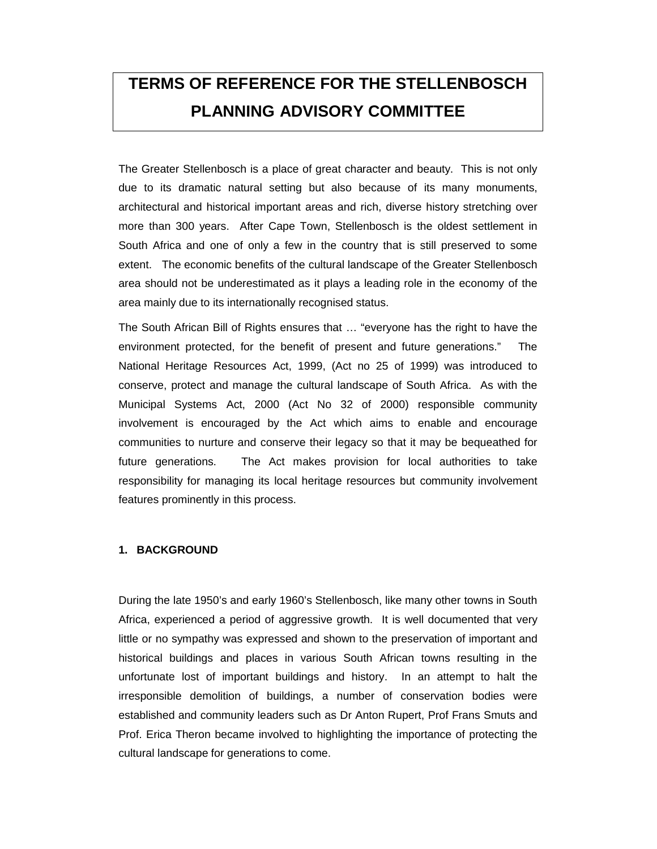# **TERMS OF REFERENCE FOR THE STELLENBOSCH PLANNING ADVISORY COMMITTEE**

The Greater Stellenbosch is a place of great character and beauty. This is not only due to its dramatic natural setting but also because of its many monuments, architectural and historical important areas and rich, diverse history stretching over more than 300 years. After Cape Town, Stellenbosch is the oldest settlement in South Africa and one of only a few in the country that is still preserved to some extent. The economic benefits of the cultural landscape of the Greater Stellenbosch area should not be underestimated as it plays a leading role in the economy of the area mainly due to its internationally recognised status.

The South African Bill of Rights ensures that … "everyone has the right to have the environment protected, for the benefit of present and future generations." The National Heritage Resources Act, 1999, (Act no 25 of 1999) was introduced to conserve, protect and manage the cultural landscape of South Africa. As with the Municipal Systems Act, 2000 (Act No 32 of 2000) responsible community involvement is encouraged by the Act which aims to enable and encourage communities to nurture and conserve their legacy so that it may be bequeathed for future generations. The Act makes provision for local authorities to take responsibility for managing its local heritage resources but community involvement features prominently in this process.

#### **1. BACKGROUND**

During the late 1950's and early 1960's Stellenbosch, like many other towns in South Africa, experienced a period of aggressive growth. It is well documented that very little or no sympathy was expressed and shown to the preservation of important and historical buildings and places in various South African towns resulting in the unfortunate lost of important buildings and history. In an attempt to halt the irresponsible demolition of buildings, a number of conservation bodies were established and community leaders such as Dr Anton Rupert, Prof Frans Smuts and Prof. Erica Theron became involved to highlighting the importance of protecting the cultural landscape for generations to come.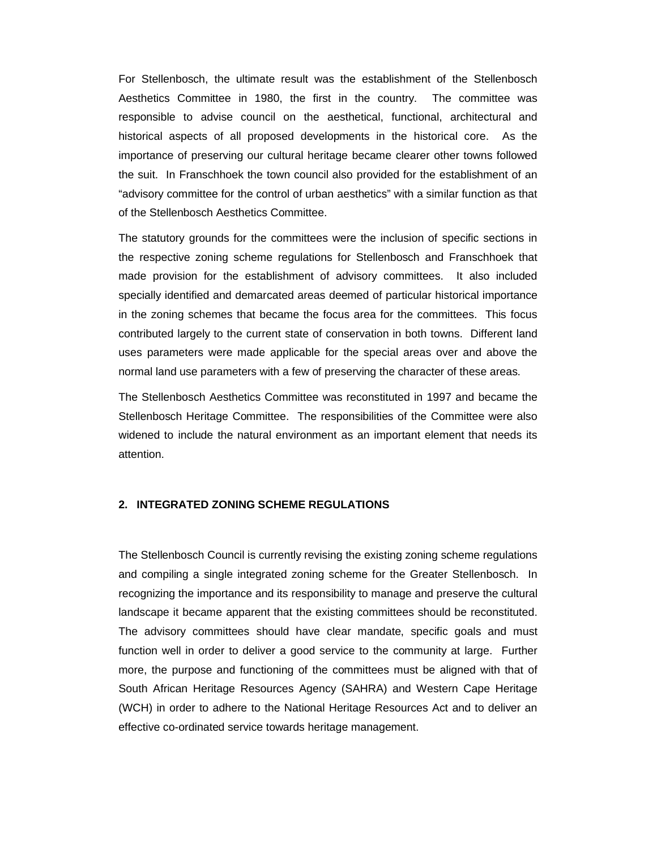For Stellenbosch, the ultimate result was the establishment of the Stellenbosch Aesthetics Committee in 1980, the first in the country. The committee was responsible to advise council on the aesthetical, functional, architectural and historical aspects of all proposed developments in the historical core. As the importance of preserving our cultural heritage became clearer other towns followed the suit. In Franschhoek the town council also provided for the establishment of an "advisory committee for the control of urban aesthetics" with a similar function as that of the Stellenbosch Aesthetics Committee.

The statutory grounds for the committees were the inclusion of specific sections in the respective zoning scheme regulations for Stellenbosch and Franschhoek that made provision for the establishment of advisory committees. It also included specially identified and demarcated areas deemed of particular historical importance in the zoning schemes that became the focus area for the committees. This focus contributed largely to the current state of conservation in both towns. Different land uses parameters were made applicable for the special areas over and above the normal land use parameters with a few of preserving the character of these areas.

The Stellenbosch Aesthetics Committee was reconstituted in 1997 and became the Stellenbosch Heritage Committee. The responsibilities of the Committee were also widened to include the natural environment as an important element that needs its attention.

#### **2. INTEGRATED ZONING SCHEME REGULATIONS**

The Stellenbosch Council is currently revising the existing zoning scheme regulations and compiling a single integrated zoning scheme for the Greater Stellenbosch. In recognizing the importance and its responsibility to manage and preserve the cultural landscape it became apparent that the existing committees should be reconstituted. The advisory committees should have clear mandate, specific goals and must function well in order to deliver a good service to the community at large. Further more, the purpose and functioning of the committees must be aligned with that of South African Heritage Resources Agency (SAHRA) and Western Cape Heritage (WCH) in order to adhere to the National Heritage Resources Act and to deliver an effective co-ordinated service towards heritage management.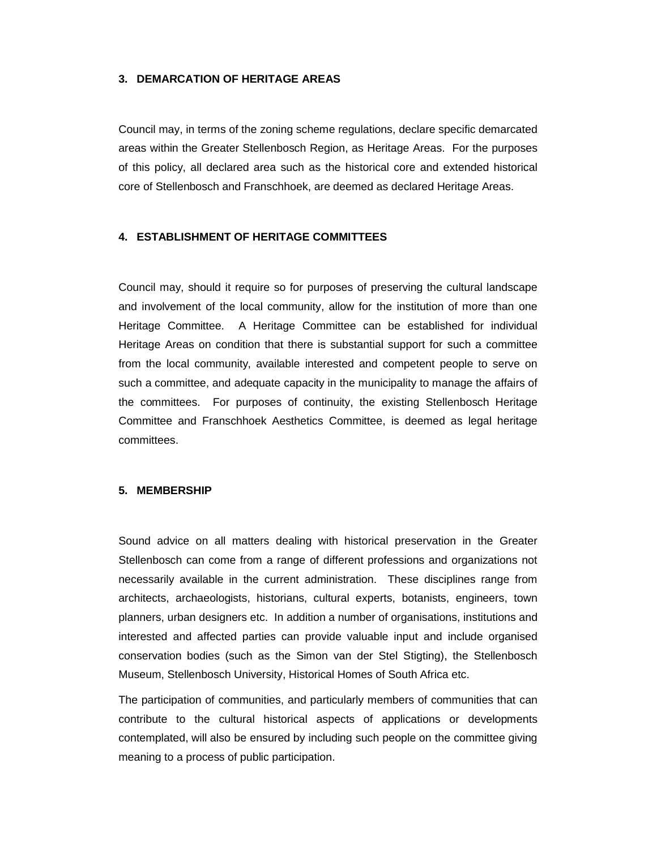#### **3. DEMARCATION OF HERITAGE AREAS**

Council may, in terms of the zoning scheme regulations, declare specific demarcated areas within the Greater Stellenbosch Region, as Heritage Areas. For the purposes of this policy, all declared area such as the historical core and extended historical core of Stellenbosch and Franschhoek, are deemed as declared Heritage Areas.

#### **4. ESTABLISHMENT OF HERITAGE COMMITTEES**

Council may, should it require so for purposes of preserving the cultural landscape and involvement of the local community, allow for the institution of more than one Heritage Committee. A Heritage Committee can be established for individual Heritage Areas on condition that there is substantial support for such a committee from the local community, available interested and competent people to serve on such a committee, and adequate capacity in the municipality to manage the affairs of the committees. For purposes of continuity, the existing Stellenbosch Heritage Committee and Franschhoek Aesthetics Committee, is deemed as legal heritage committees.

#### **5. MEMBERSHIP**

Sound advice on all matters dealing with historical preservation in the Greater Stellenbosch can come from a range of different professions and organizations not necessarily available in the current administration. These disciplines range from architects, archaeologists, historians, cultural experts, botanists, engineers, town planners, urban designers etc. In addition a number of organisations, institutions and interested and affected parties can provide valuable input and include organised conservation bodies (such as the Simon van der Stel Stigting), the Stellenbosch Museum, Stellenbosch University, Historical Homes of South Africa etc.

The participation of communities, and particularly members of communities that can contribute to the cultural historical aspects of applications or developments contemplated, will also be ensured by including such people on the committee giving meaning to a process of public participation.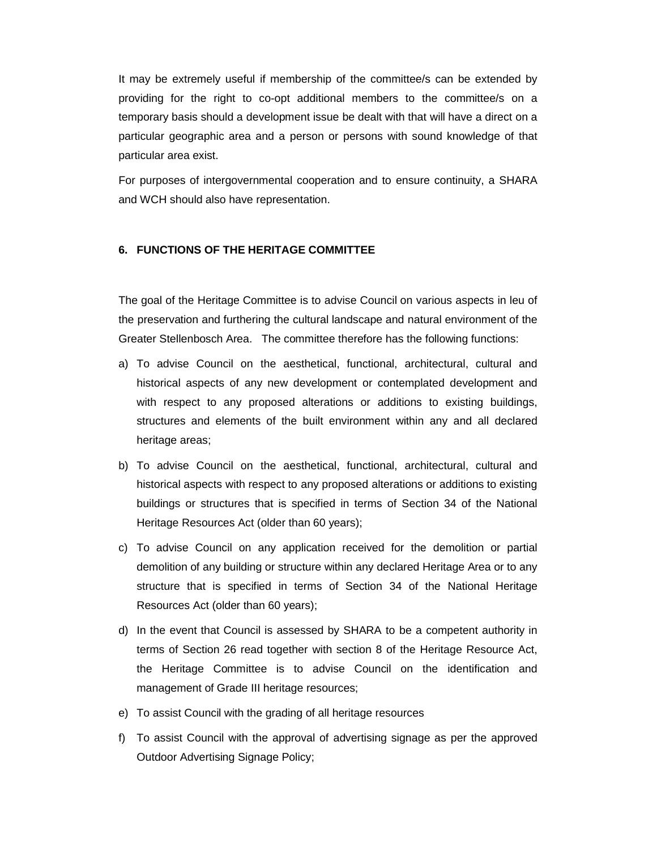It may be extremely useful if membership of the committee/s can be extended by providing for the right to co-opt additional members to the committee/s on a temporary basis should a development issue be dealt with that will have a direct on a particular geographic area and a person or persons with sound knowledge of that particular area exist.

For purposes of intergovernmental cooperation and to ensure continuity, a SHARA and WCH should also have representation.

#### **6. FUNCTIONS OF THE HERITAGE COMMITTEE**

The goal of the Heritage Committee is to advise Council on various aspects in leu of the preservation and furthering the cultural landscape and natural environment of the Greater Stellenbosch Area. The committee therefore has the following functions:

- a) To advise Council on the aesthetical, functional, architectural, cultural and historical aspects of any new development or contemplated development and with respect to any proposed alterations or additions to existing buildings, structures and elements of the built environment within any and all declared heritage areas;
- b) To advise Council on the aesthetical, functional, architectural, cultural and historical aspects with respect to any proposed alterations or additions to existing buildings or structures that is specified in terms of Section 34 of the National Heritage Resources Act (older than 60 years);
- c) To advise Council on any application received for the demolition or partial demolition of any building or structure within any declared Heritage Area or to any structure that is specified in terms of Section 34 of the National Heritage Resources Act (older than 60 years);
- d) In the event that Council is assessed by SHARA to be a competent authority in terms of Section 26 read together with section 8 of the Heritage Resource Act, the Heritage Committee is to advise Council on the identification and management of Grade III heritage resources;
- e) To assist Council with the grading of all heritage resources
- f) To assist Council with the approval of advertising signage as per the approved Outdoor Advertising Signage Policy;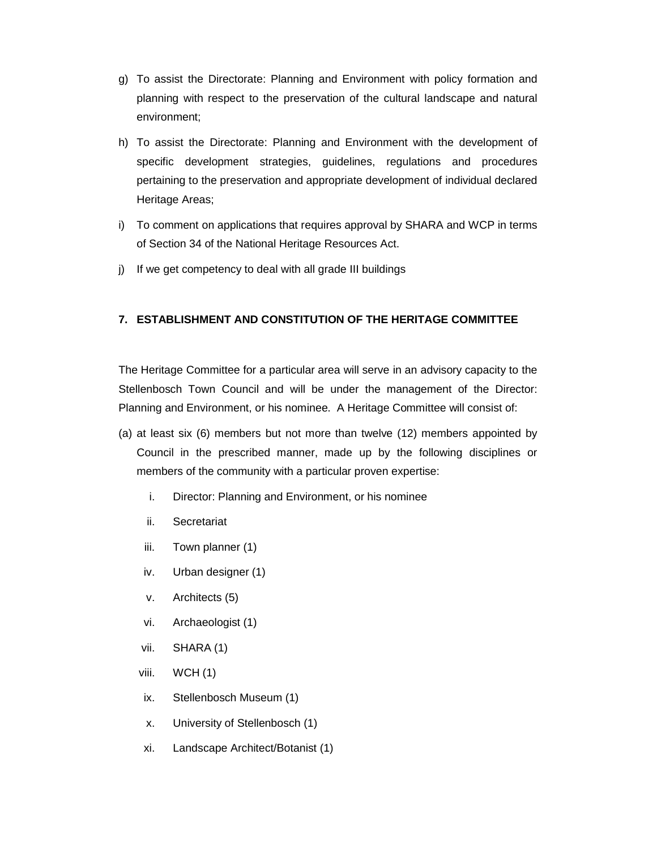- g) To assist the Directorate: Planning and Environment with policy formation and planning with respect to the preservation of the cultural landscape and natural environment;
- h) To assist the Directorate: Planning and Environment with the development of specific development strategies, guidelines, regulations and procedures pertaining to the preservation and appropriate development of individual declared Heritage Areas;
- i) To comment on applications that requires approval by SHARA and WCP in terms of Section 34 of the National Heritage Resources Act.
- j) If we get competency to deal with all grade III buildings

### **7. ESTABLISHMENT AND CONSTITUTION OF THE HERITAGE COMMITTEE**

The Heritage Committee for a particular area will serve in an advisory capacity to the Stellenbosch Town Council and will be under the management of the Director: Planning and Environment, or his nominee. A Heritage Committee will consist of:

- (a) at least six (6) members but not more than twelve (12) members appointed by Council in the prescribed manner, made up by the following disciplines or members of the community with a particular proven expertise:
	- i. Director: Planning and Environment, or his nominee
	- ii. Secretariat
	- iii. Town planner (1)
	- iv. Urban designer (1)
	- v. Architects (5)
	- vi. Archaeologist (1)
	- vii. SHARA (1)
	- viii. WCH (1)
	- ix. Stellenbosch Museum (1)
	- x. University of Stellenbosch (1)
	- xi. Landscape Architect/Botanist (1)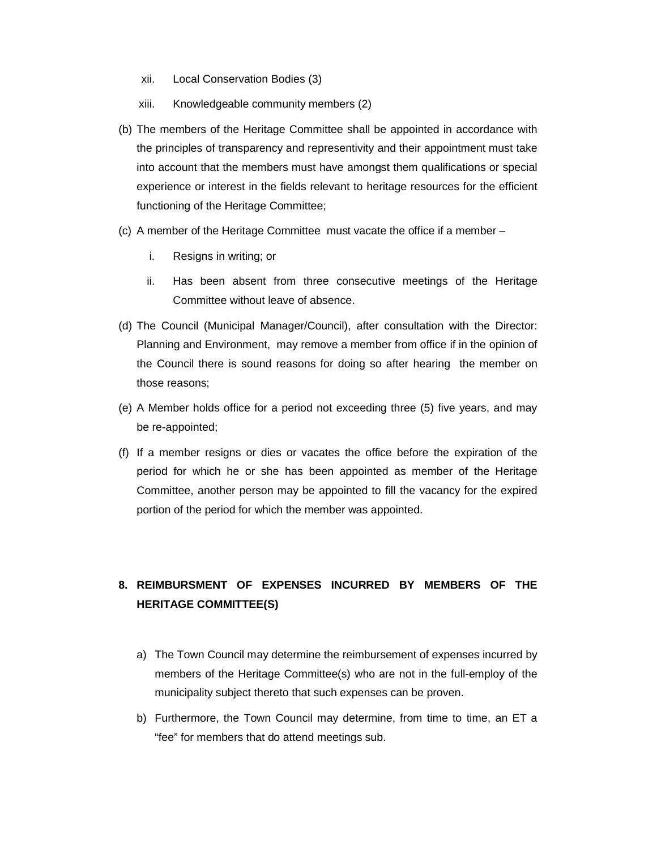- xii. Local Conservation Bodies (3)
- xiii. Knowledgeable community members (2)
- (b) The members of the Heritage Committee shall be appointed in accordance with the principles of transparency and representivity and their appointment must take into account that the members must have amongst them qualifications or special experience or interest in the fields relevant to heritage resources for the efficient functioning of the Heritage Committee;
- (c) A member of the Heritage Committee must vacate the office if a member
	- i. Resigns in writing; or
	- ii. Has been absent from three consecutive meetings of the Heritage Committee without leave of absence.
- (d) The Council (Municipal Manager/Council), after consultation with the Director: Planning and Environment, may remove a member from office if in the opinion of the Council there is sound reasons for doing so after hearing the member on those reasons;
- (e) A Member holds office for a period not exceeding three (5) five years, and may be re-appointed;
- (f) If a member resigns or dies or vacates the office before the expiration of the period for which he or she has been appointed as member of the Heritage Committee, another person may be appointed to fill the vacancy for the expired portion of the period for which the member was appointed.

## **8. REIMBURSMENT OF EXPENSES INCURRED BY MEMBERS OF THE HERITAGE COMMITTEE(S)**

- a) The Town Council may determine the reimbursement of expenses incurred by members of the Heritage Committee(s) who are not in the full-employ of the municipality subject thereto that such expenses can be proven.
- b) Furthermore, the Town Council may determine, from time to time, an ET a "fee" for members that do attend meetings sub.